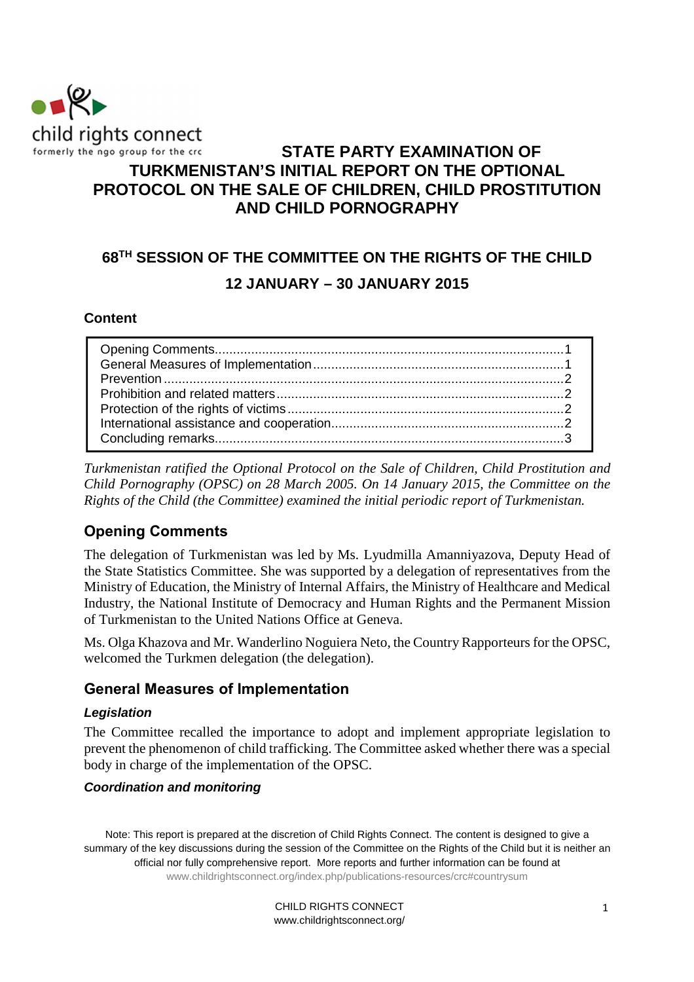

# **STATE PARTY EXAMINATION OF TURKMENISTAN'S INITIAL REPORT ON THE OPTIONAL PROTOCOL ON THE SALE OF CHILDREN, CHILD PROSTITUTION AND CHILD PORNOGRAPHY**

# **68TH SESSION OF THE COMMITTEE ON THE RIGHTS OF THE CHILD 12 JANUARY – 30 JANUARY 2015**

#### **Content**

*Turkmenistan ratified the Optional Protocol on the Sale of Children, Child Prostitution and Child Pornography (OPSC) on 28 March 2005. On 14 January 2015, the Committee on the Rights of the Child (the Committee) examined the initial periodic report of Turkmenistan.* 

## **Opening Comments**

The delegation of Turkmenistan was led by Ms. Lyudmilla Amanniyazova, Deputy Head of the State Statistics Committee. She was supported by a delegation of representatives from the Ministry of Education, the Ministry of Internal Affairs, the Ministry of Healthcare and Medical Industry, the National Institute of Democracy and Human Rights and the Permanent Mission of Turkmenistan to the United Nations Office at Geneva.

Ms. Olga Khazova and Mr. Wanderlino Noguiera Neto, the Country Rapporteurs for the OPSC, welcomed the Turkmen delegation (the delegation).

#### **General Measures of Implementation**

#### **Legislation**

The Committee recalled the importance to adopt and implement appropriate legislation to prevent the phenomenon of child trafficking. The Committee asked whether there was a special body in charge of the implementation of the OPSC.

#### **Coordination and monitoring**

Note: This report is prepared at the discretion of Child Rights Connect. The content is designed to give a summary of the key discussions during the session of the Committee on the Rights of the Child but it is neither an official nor fully comprehensive report. More reports and further information can be found at www.childrightsconnect.org/index.php/publications-resources/crc#countrysum

> CHILD RIGHTS CONNECT www.childrightsconnect.org/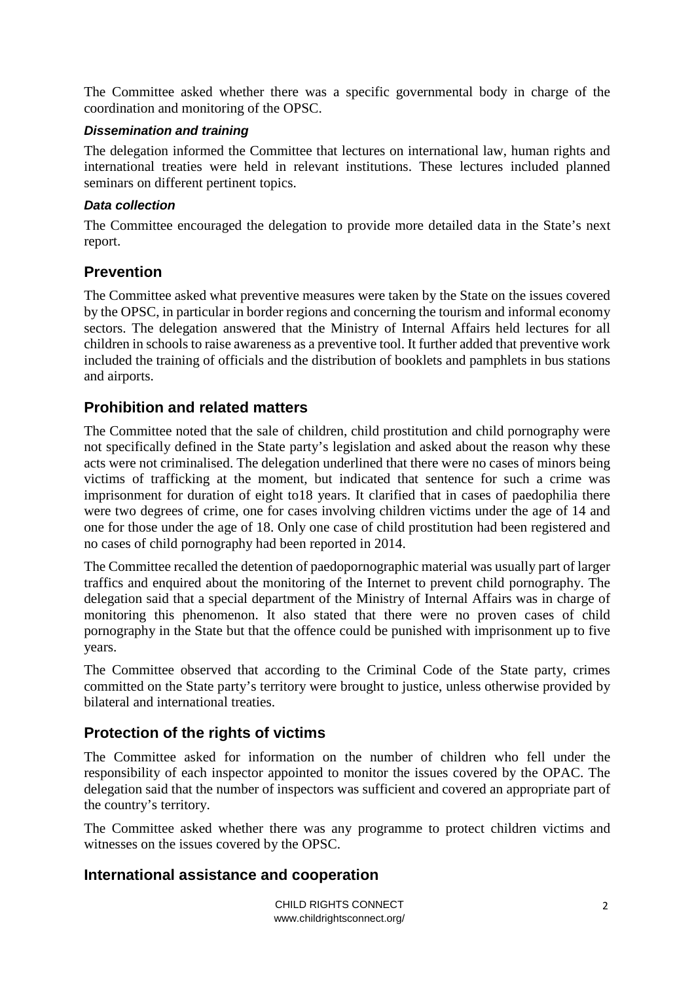The Committee asked whether there was a specific governmental body in charge of the coordination and monitoring of the OPSC.

#### **Dissemination and training**

The delegation informed the Committee that lectures on international law, human rights and international treaties were held in relevant institutions. These lectures included planned seminars on different pertinent topics.

#### **Data collection**

The Committee encouraged the delegation to provide more detailed data in the State's next report.

### **Prevention**

The Committee asked what preventive measures were taken by the State on the issues covered by the OPSC, in particular in border regions and concerning the tourism and informal economy sectors. The delegation answered that the Ministry of Internal Affairs held lectures for all children in schools to raise awareness as a preventive tool. It further added that preventive work included the training of officials and the distribution of booklets and pamphlets in bus stations and airports.

## **Prohibition and related matters**

The Committee noted that the sale of children, child prostitution and child pornography were not specifically defined in the State party's legislation and asked about the reason why these acts were not criminalised. The delegation underlined that there were no cases of minors being victims of trafficking at the moment, but indicated that sentence for such a crime was imprisonment for duration of eight to18 years. It clarified that in cases of paedophilia there were two degrees of crime, one for cases involving children victims under the age of 14 and one for those under the age of 18. Only one case of child prostitution had been registered and no cases of child pornography had been reported in 2014.

The Committee recalled the detention of paedopornographic material was usually part of larger traffics and enquired about the monitoring of the Internet to prevent child pornography. The delegation said that a special department of the Ministry of Internal Affairs was in charge of monitoring this phenomenon. It also stated that there were no proven cases of child pornography in the State but that the offence could be punished with imprisonment up to five years.

The Committee observed that according to the Criminal Code of the State party, crimes committed on the State party's territory were brought to justice, unless otherwise provided by bilateral and international treaties.

#### **Protection of the rights of victims**

The Committee asked for information on the number of children who fell under the responsibility of each inspector appointed to monitor the issues covered by the OPAC. The delegation said that the number of inspectors was sufficient and covered an appropriate part of the country's territory.

The Committee asked whether there was any programme to protect children victims and witnesses on the issues covered by the OPSC.

## **International assistance and cooperation**